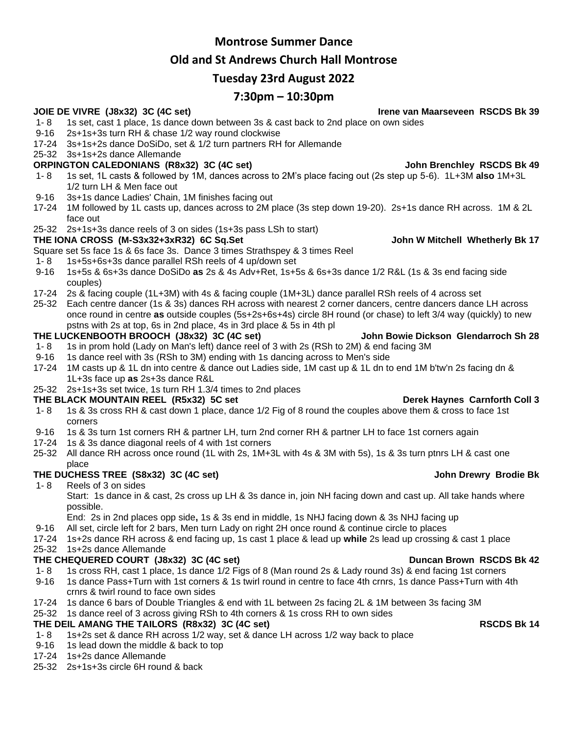## **Montrose Summer Dance**

# **Old and St Andrews Church Hall Montrose**

# **Tuesday 23rd August 2022**

# **7:30pm – 10:30pm**

### **JOIE DE VIVRE (J8x32) 3C (4C set) Irene van Maarseveen RSCDS Bk 39**

- 1- 8 1s set, cast 1 place, 1s dance down between 3s & cast back to 2nd place on own sides
- 9-16 2s+1s+3s turn RH & chase 1/2 way round clockwise
- 17-24 3s+1s+2s dance DoSiDo, set & 1/2 turn partners RH for Allemande
- 25-32 3s+1s+2s dance Allemande

## **ORPINGTON CALEDONIANS (R8x32) 3C (4C set) John Brenchley RSCDS Bk 49**

- 1- 8 1s set, 1L casts & followed by 1M, dances across to 2M's place facing out (2s step up 5-6). 1L+3M **also** 1M+3L 1/2 turn LH & Men face out
- 9-16 3s+1s dance Ladies' Chain, 1M finishes facing out
- 17-24 1M followed by 1L casts up, dances across to 2M place (3s step down 19-20). 2s+1s dance RH across. 1M & 2L face out
- 25-32 2s+1s+3s dance reels of 3 on sides (1s+3s pass LSh to start)

### **THE IONA CROSS (M-S3x32+3xR32) 6C Sq.Set John W Mitchell Whetherly Bk 17**

Square set 5s face 1s & 6s face 3s. Dance 3 times Strathspey & 3 times Reel

- 1- 8 1s+5s+6s+3s dance parallel RSh reels of 4 up/down set
- 9-16 1s+5s & 6s+3s dance DoSiDo **as** 2s & 4s Adv+Ret, 1s+5s & 6s+3s dance 1/2 R&L (1s & 3s end facing side couples)
- 17-24 2s & facing couple (1L+3M) with 4s & facing couple (1M+3L) dance parallel RSh reels of 4 across set
- 25-32 Each centre dancer (1s & 3s) dances RH across with nearest 2 corner dancers, centre dancers dance LH across once round in centre **as** outside couples (5s+2s+6s+4s) circle 8H round (or chase) to left 3/4 way (quickly) to new pstns with 2s at top, 6s in 2nd place, 4s in 3rd place & 5s in 4th pl

### **THE LUCKENBOOTH BROOCH (J8x32) 3C (4C set) John Bowie Dickson Glendarroch Sh 28**

- 1- 8 1s in prom hold (Lady on Man's left) dance reel of 3 with 2s (RSh to 2M) & end facing 3M
- 9-16 1s dance reel with 3s (RSh to 3M) ending with 1s dancing across to Men's side
- 17-24 1M casts up & 1L dn into centre & dance out Ladies side, 1M cast up & 1L dn to end 1M b'tw'n 2s facing dn & 1L+3s face up **as** 2s+3s dance R&L
- 25-32 2s+1s+3s set twice, 1s turn RH 1.3/4 times to 2nd places

### **THE BLACK MOUNTAIN REEL (R5x32) 5C set Derek Haynes Carnforth Coll 3**

- 1- 8 1s & 3s cross RH & cast down 1 place, dance 1/2 Fig of 8 round the couples above them & cross to face 1st corners
- 9-16 1s & 3s turn 1st corners RH & partner LH, turn 2nd corner RH & partner LH to face 1st corners again
- 17-24 1s & 3s dance diagonal reels of 4 with 1st corners
- 25-32 All dance RH across once round (1L with 2s, 1M+3L with 4s & 3M with 5s), 1s & 3s turn ptnrs LH & cast one place

## **THE DUCHESS TREE (S8x32) 3C (4C set) John Drewry Brodie Bk**

1- 8 Reels of 3 on sides

Start: 1s dance in & cast, 2s cross up LH & 3s dance in, join NH facing down and cast up. All take hands where possible.

End: 2s in 2nd places opp side**,** 1s & 3s end in middle, 1s NHJ facing down & 3s NHJ facing up

9-16 All set, circle left for 2 bars, Men turn Lady on right 2H once round & continue circle to places

17-24 1s+2s dance RH across & end facing up, 1s cast 1 place & lead up **while** 2s lead up crossing & cast 1 place

### 25-32 1s+2s dance Allemande

- **THE CHEQUERED COURT (J8x32) 3C (4C set) Duncan Brown RSCDS Bk 42** 1- 8 1s cross RH, cast 1 place, 1s dance 1/2 Figs of 8 (Man round 2s & Lady round 3s) & end facing 1st corners
- 9-16 1s dance Pass+Turn with 1st corners & 1s twirl round in centre to face 4th crnrs, 1s dance Pass+Turn with 4th crnrs & twirl round to face own sides
- 17-24 1s dance 6 bars of Double Triangles & end with 1L between 2s facing 2L & 1M between 3s facing 3M

## 25-32 1s dance reel of 3 across giving RSh to 4th corners & 1s cross RH to own sides

# **THE DEIL AMANG THE TAILORS (R8x32) 3C (4C set) RSCDS Bk 14**

- 1- 8 1s+2s set & dance RH across 1/2 way, set & dance LH across 1/2 way back to place
- 9-16 1s lead down the middle & back to top
- 17-24 1s+2s dance Allemande
- 25-32 2s+1s+3s circle 6H round & back